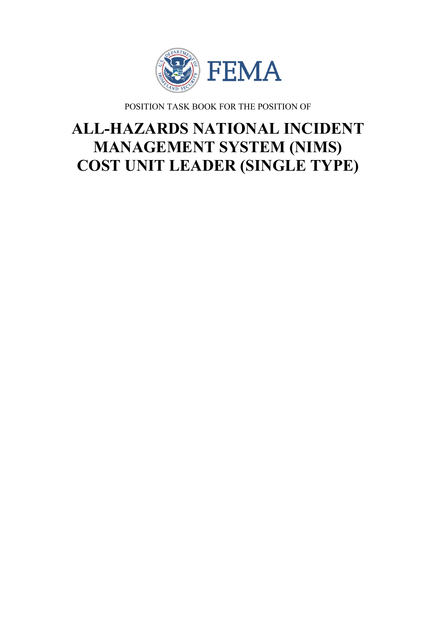

POSITION TASK BOOK FOR THE POSITION OF

# **ALL-HAZARDS NATIONAL INCIDENT MANAGEMENT SYSTEM (NIMS) COST UNIT LEADER (SINGLE TYPE)**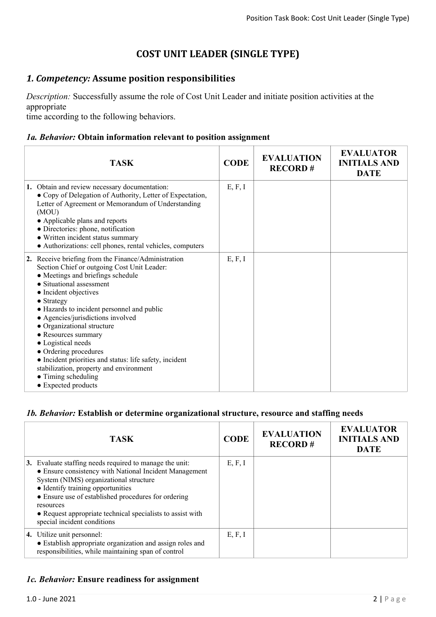# **COST UNIT LEADER (SINGLE TYPE)**

## *1. Competency:* **Assume position responsibilities**

*Description:* Successfully assume the role of Cost Unit Leader and initiate position activities at the appropriate

time according to the following behaviors.

#### *1a. Behavior:* **Obtain information relevant to position assignment**

| <b>TASK</b>                                                                                                                                                                                                                                                                                                                                                                                                                                                                                                                                           | <b>CODE</b> | <b>EVALUATION</b><br><b>RECORD#</b> | <b>EVALUATOR</b><br><b>INITIALS AND</b><br><b>DATE</b> |
|-------------------------------------------------------------------------------------------------------------------------------------------------------------------------------------------------------------------------------------------------------------------------------------------------------------------------------------------------------------------------------------------------------------------------------------------------------------------------------------------------------------------------------------------------------|-------------|-------------------------------------|--------------------------------------------------------|
| 1. Obtain and review necessary documentation:<br>• Copy of Delegation of Authority, Letter of Expectation,<br>Letter of Agreement or Memorandum of Understanding<br>(MOU)<br>• Applicable plans and reports<br>· Directories: phone, notification<br>• Written incident status summary<br>• Authorizations: cell phones, rental vehicles, computers                                                                                                                                                                                                   | E, F, I     |                                     |                                                        |
| 2. Receive briefing from the Finance/Administration<br>Section Chief or outgoing Cost Unit Leader:<br>• Meetings and briefings schedule<br>• Situational assessment<br>• Incident objectives<br>• Strategy<br>• Hazards to incident personnel and public<br>• Agencies/jurisdictions involved<br>• Organizational structure<br>• Resources summary<br>• Logistical needs<br>• Ordering procedures<br>• Incident priorities and status: life safety, incident<br>stabilization, property and environment<br>• Timing scheduling<br>• Expected products | E, F, I     |                                     |                                                        |

#### *1b. Behavior:* **Establish or determine organizational structure, resource and staffing needs**

| <b>TASK</b>                                                                                                                                                                                                                                                                                                                                                       | <b>CODE</b> | <b>EVALUATION</b><br><b>RECORD#</b> | <b>EVALUATOR</b><br><b>INITIALS AND</b><br><b>DATE</b> |
|-------------------------------------------------------------------------------------------------------------------------------------------------------------------------------------------------------------------------------------------------------------------------------------------------------------------------------------------------------------------|-------------|-------------------------------------|--------------------------------------------------------|
| 3. Evaluate staffing needs required to manage the unit:<br>• Ensure consistency with National Incident Management<br>System (NIMS) organizational structure<br>• Identify training opportunities<br>• Ensure use of established procedures for ordering<br>resources<br>• Request appropriate technical specialists to assist with<br>special incident conditions | E, F, I     |                                     |                                                        |
| 4. Utilize unit personnel:<br>• Establish appropriate organization and assign roles and<br>responsibilities, while maintaining span of control                                                                                                                                                                                                                    | E, F, I     |                                     |                                                        |

#### *1c. Behavior:* **Ensure readiness for assignment**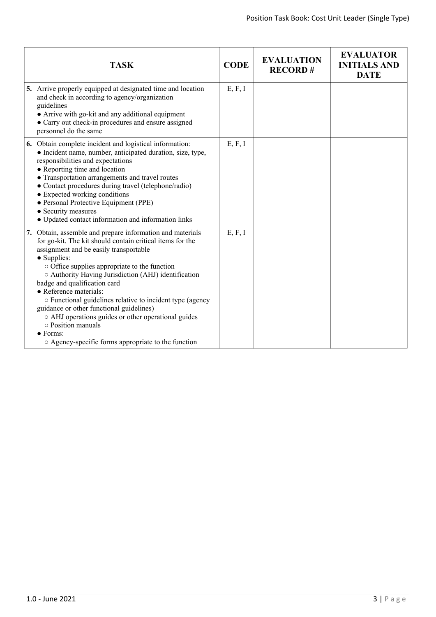| <b>TASK</b>                                                                                                                                                                                                                                                                                                                                                                                                                                                                                                                                                                                                               | <b>CODE</b> | <b>EVALUATION</b><br><b>RECORD#</b> | <b>EVALUATOR</b><br><b>INITIALS AND</b><br><b>DATE</b> |
|---------------------------------------------------------------------------------------------------------------------------------------------------------------------------------------------------------------------------------------------------------------------------------------------------------------------------------------------------------------------------------------------------------------------------------------------------------------------------------------------------------------------------------------------------------------------------------------------------------------------------|-------------|-------------------------------------|--------------------------------------------------------|
| 5. Arrive properly equipped at designated time and location<br>and check in according to agency/organization<br>guidelines<br>• Arrive with go-kit and any additional equipment<br>• Carry out check-in procedures and ensure assigned<br>personnel do the same                                                                                                                                                                                                                                                                                                                                                           | E, F, I     |                                     |                                                        |
| 6. Obtain complete incident and logistical information:<br>• Incident name, number, anticipated duration, size, type,<br>responsibilities and expectations<br>• Reporting time and location<br>• Transportation arrangements and travel routes<br>• Contact procedures during travel (telephone/radio)<br>• Expected working conditions<br>• Personal Protective Equipment (PPE)<br>• Security measures<br>• Updated contact information and information links                                                                                                                                                            | E, F, I     |                                     |                                                        |
| 7. Obtain, assemble and prepare information and materials<br>for go-kit. The kit should contain critical items for the<br>assignment and be easily transportable<br>• Supplies:<br>o Office supplies appropriate to the function<br>○ Authority Having Jurisdiction (AHJ) identification<br>badge and qualification card<br>• Reference materials:<br>o Functional guidelines relative to incident type (agency<br>guidance or other functional guidelines)<br>o AHJ operations guides or other operational guides<br>$\circ$ Position manuals<br>$\bullet$ Forms:<br>○ Agency-specific forms appropriate to the function | E, F, I     |                                     |                                                        |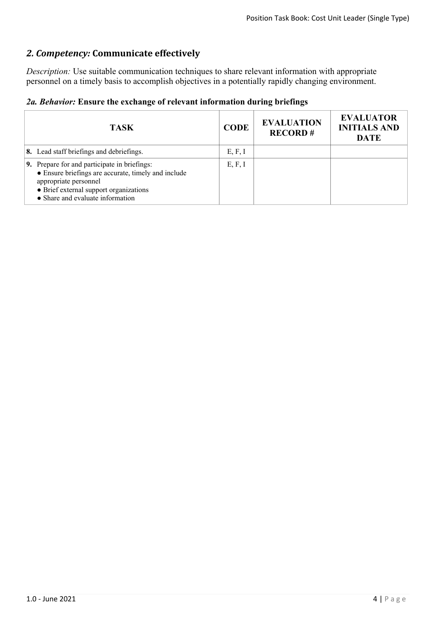# *2. Competency:* **Communicate effectively**

*Description:* Use suitable communication techniques to share relevant information with appropriate personnel on a timely basis to accomplish objectives in a potentially rapidly changing environment.

|  |  |  |  |  | 2a. Behavior: Ensure the exchange of relevant information during briefings |  |  |
|--|--|--|--|--|----------------------------------------------------------------------------|--|--|
|--|--|--|--|--|----------------------------------------------------------------------------|--|--|

| <b>TASK</b>                                                                                                                                                                                                | <b>CODE</b> | <b>EVALUATION</b><br><b>RECORD#</b> | <b>EVALUATOR</b><br><b>INITIALS AND</b><br><b>DATE</b> |
|------------------------------------------------------------------------------------------------------------------------------------------------------------------------------------------------------------|-------------|-------------------------------------|--------------------------------------------------------|
| 8. Lead staff briefings and debriefings.                                                                                                                                                                   | E, F, I     |                                     |                                                        |
| 9. Prepare for and participate in briefings:<br>• Ensure briefings are accurate, timely and include<br>appropriate personnel<br>• Brief external support organizations<br>• Share and evaluate information | E, F, I     |                                     |                                                        |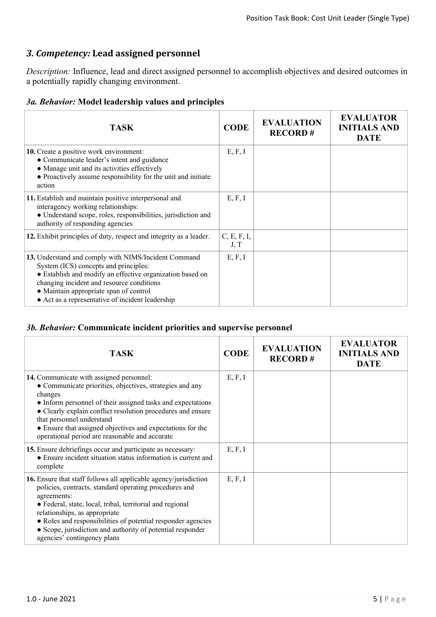# *3. Competency:* **Lead assigned personnel**

*Description:* Influence, lead and direct assigned personnel to accomplish objectives and desired outcomes in a potentially rapidly changing environment.

| <b>TASK</b>                                                                                                                                                                                                                                                                                           | <b>CODE</b>         | <b>EVALUATION</b><br><b>RECORD#</b> | <b>EVALUATOR</b><br><b>INITIALS AND</b><br><b>DATE</b> |
|-------------------------------------------------------------------------------------------------------------------------------------------------------------------------------------------------------------------------------------------------------------------------------------------------------|---------------------|-------------------------------------|--------------------------------------------------------|
| 10. Create a positive work environment:<br>• Communicate leader's intent and guidance<br>• Manage unit and its activities effectively<br>• Proactively assume responsibility for the unit and initiate<br>action                                                                                      | E, F, I             |                                     |                                                        |
| 11. Establish and maintain positive interpersonal and<br>interagency working relationships:<br>· Understand scope, roles, responsibilities, jurisdiction and<br>authority of responding agencies                                                                                                      | E, F, I             |                                     |                                                        |
| 12. Exhibit principles of duty, respect and integrity as a leader.                                                                                                                                                                                                                                    | C, E, F, I,<br>J, T |                                     |                                                        |
| 13. Understand and comply with NIMS/Incident Command<br>System (ICS) concepts and principles:<br>• Establish and modify an effective organization based on<br>changing incident and resource conditions<br>• Maintain appropriate span of control<br>• Act as a representative of incident leadership | E, F, I             |                                     |                                                        |

#### *3b. Behavior:* **Communicate incident priorities and supervise personnel**

| <b>TASK</b>                                                                                                                                                                                                                                                                                                                                                                                                 | <b>CODE</b> | <b>EVALUATION</b><br><b>RECORD#</b> | <b>EVALUATOR</b><br><b>INITIALS AND</b><br><b>DATE</b> |
|-------------------------------------------------------------------------------------------------------------------------------------------------------------------------------------------------------------------------------------------------------------------------------------------------------------------------------------------------------------------------------------------------------------|-------------|-------------------------------------|--------------------------------------------------------|
| 14. Communicate with assigned personnel:<br>• Communicate priorities, objectives, strategies and any<br>changes<br>• Inform personnel of their assigned tasks and expectations<br>• Clearly explain conflict resolution procedures and ensure<br>that personnel understand<br>• Ensure that assigned objectives and expectations for the<br>operational period are reasonable and accurate                  | E, F, I     |                                     |                                                        |
| 15. Ensure debriefings occur and participate as necessary:<br>• Ensure incident situation status information is current and<br>complete                                                                                                                                                                                                                                                                     | E, F, I     |                                     |                                                        |
| <b>16.</b> Ensure that staff follows all applicable agency/jurisdiction<br>policies, contracts, standard operating procedures and<br>agreements:<br>• Federal, state, local, tribal, territorial and regional<br>relationships, as appropriate<br>• Roles and responsibilities of potential responder agencies<br>• Scope, jurisdiction and authority of potential responder<br>agencies' contingency plans | E, F, I     |                                     |                                                        |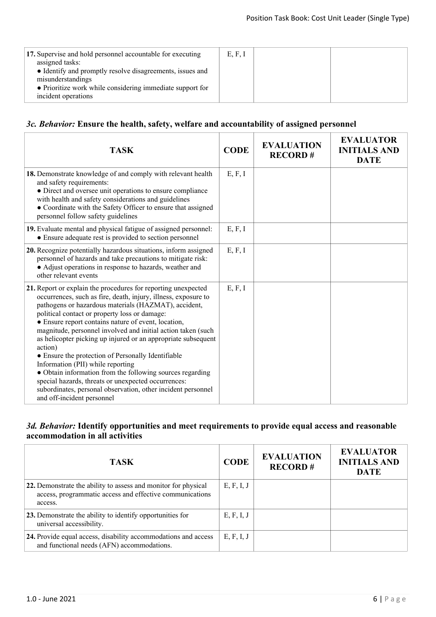## *3c. Behavior:* **Ensure the health, safety, welfare and accountability of assigned personnel**

| <b>TASK</b>                                                                                                                                                                                                                                                                                                                                                                                                                                                                                                                                                                                                                                                                                                                                              | <b>CODE</b> | <b>EVALUATION</b><br><b>RECORD#</b> | <b>EVALUATOR</b><br><b>INITIALS AND</b><br><b>DATE</b> |
|----------------------------------------------------------------------------------------------------------------------------------------------------------------------------------------------------------------------------------------------------------------------------------------------------------------------------------------------------------------------------------------------------------------------------------------------------------------------------------------------------------------------------------------------------------------------------------------------------------------------------------------------------------------------------------------------------------------------------------------------------------|-------------|-------------------------------------|--------------------------------------------------------|
| 18. Demonstrate knowledge of and comply with relevant health<br>and safety requirements:<br>• Direct and oversee unit operations to ensure compliance<br>with health and safety considerations and guidelines<br>• Coordinate with the Safety Officer to ensure that assigned<br>personnel follow safety guidelines                                                                                                                                                                                                                                                                                                                                                                                                                                      | E, F, I     |                                     |                                                        |
| 19. Evaluate mental and physical fatigue of assigned personnel:<br>• Ensure adequate rest is provided to section personnel                                                                                                                                                                                                                                                                                                                                                                                                                                                                                                                                                                                                                               | E, F, I     |                                     |                                                        |
| 20. Recognize potentially hazardous situations, inform assigned<br>personnel of hazards and take precautions to mitigate risk:<br>• Adjust operations in response to hazards, weather and<br>other relevant events                                                                                                                                                                                                                                                                                                                                                                                                                                                                                                                                       | E, F, I     |                                     |                                                        |
| 21. Report or explain the procedures for reporting unexpected<br>occurrences, such as fire, death, injury, illness, exposure to<br>pathogens or hazardous materials (HAZMAT), accident,<br>political contact or property loss or damage:<br>• Ensure report contains nature of event, location,<br>magnitude, personnel involved and initial action taken (such<br>as helicopter picking up injured or an appropriate subsequent<br>action)<br>• Ensure the protection of Personally Identifiable<br>Information (PII) while reporting<br>· Obtain information from the following sources regarding<br>special hazards, threats or unexpected occurrences:<br>subordinates, personal observation, other incident personnel<br>and off-incident personnel | E, F, I     |                                     |                                                        |

### *3d. Behavior:* **Identify opportunities and meet requirements to provide equal access and reasonable accommodation in all activities**

| <b>TASK</b>                                                                                                                           | <b>CODE</b> | <b>EVALUATION</b><br><b>RECORD#</b> | <b>EVALUATOR</b><br><b>INITIALS AND</b><br><b>DATE</b> |
|---------------------------------------------------------------------------------------------------------------------------------------|-------------|-------------------------------------|--------------------------------------------------------|
| 22. Demonstrate the ability to assess and monitor for physical<br>access, programmatic access and effective communications<br>access. | E, F, I, J  |                                     |                                                        |
| 23. Demonstrate the ability to identify opportunities for<br>universal accessibility.                                                 | E, F, I, J  |                                     |                                                        |
| 24. Provide equal access, disability accommodations and access<br>and functional needs (AFN) accommodations.                          | E, F, I, J  |                                     |                                                        |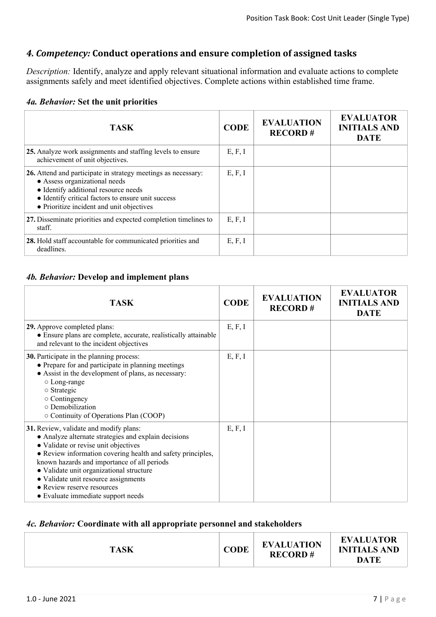# *4. Competency:* **Conduct operations and ensure completion of assigned tasks**

*Description:* Identify, analyze and apply relevant situational information and evaluate actions to complete assignments safely and meet identified objectives. Complete actions within established time frame.

|  | 4a. Behavior: Set the unit priorities |  |  |  |  |
|--|---------------------------------------|--|--|--|--|
|--|---------------------------------------|--|--|--|--|

| <b>TASK</b>                                                                                                                                                                                                                               | <b>CODE</b> | <b>EVALUATION</b><br><b>RECORD#</b> | <b>EVALUATOR</b><br><b>INITIALS AND</b><br><b>DATE</b> |
|-------------------------------------------------------------------------------------------------------------------------------------------------------------------------------------------------------------------------------------------|-------------|-------------------------------------|--------------------------------------------------------|
| 25. Analyze work assignments and staffing levels to ensure<br>achievement of unit objectives.                                                                                                                                             | E, F, I     |                                     |                                                        |
| 26. Attend and participate in strategy meetings as necessary:<br>• Assess organizational needs<br>• Identify additional resource needs<br>• Identify critical factors to ensure unit success<br>• Prioritize incident and unit objectives | E, F, I     |                                     |                                                        |
| 27. Disseminate priorities and expected completion timelines to<br>staff.                                                                                                                                                                 | E, F, I     |                                     |                                                        |
| 28. Hold staff accountable for communicated priorities and<br>deadlines.                                                                                                                                                                  | E, F, I     |                                     |                                                        |

#### *4b. Behavior:* **Develop and implement plans**

| <b>TASK</b>                                                                                                                                                                                                                                                                                                                                                                                                  | <b>CODE</b> | <b>EVALUATION</b><br><b>RECORD#</b> | <b>EVALUATOR</b><br><b>INITIALS AND</b><br><b>DATE</b> |
|--------------------------------------------------------------------------------------------------------------------------------------------------------------------------------------------------------------------------------------------------------------------------------------------------------------------------------------------------------------------------------------------------------------|-------------|-------------------------------------|--------------------------------------------------------|
| 29. Approve completed plans:<br>• Ensure plans are complete, accurate, realistically attainable<br>and relevant to the incident objectives                                                                                                                                                                                                                                                                   | E, F, I     |                                     |                                                        |
| 30. Participate in the planning process:<br>• Prepare for and participate in planning meetings<br>• Assist in the development of plans, as necessary:<br>$\circ$ Long-range<br>$\circ$ Strategic<br>$\circ$ Contingency<br>o Demobilization<br>○ Continuity of Operations Plan (COOP)                                                                                                                        | E, F, I     |                                     |                                                        |
| 31. Review, validate and modify plans:<br>• Analyze alternate strategies and explain decisions<br>• Validate or revise unit objectives<br>• Review information covering health and safety principles,<br>known hazards and importance of all periods<br>· Validate unit organizational structure<br>• Validate unit resource assignments<br>• Review reserve resources<br>• Evaluate immediate support needs | E, F, I     |                                     |                                                        |

#### *4c. Behavior:* **Coordinate with all appropriate personnel and stakeholders**

| <b>TASK</b> | <b>CODE</b> | <b>EVALUATION</b><br><b>RECORD#</b> | <b>EVALUATOR</b><br><b>INITIALS AND</b><br><b>DATE</b> |
|-------------|-------------|-------------------------------------|--------------------------------------------------------|
|             |             |                                     |                                                        |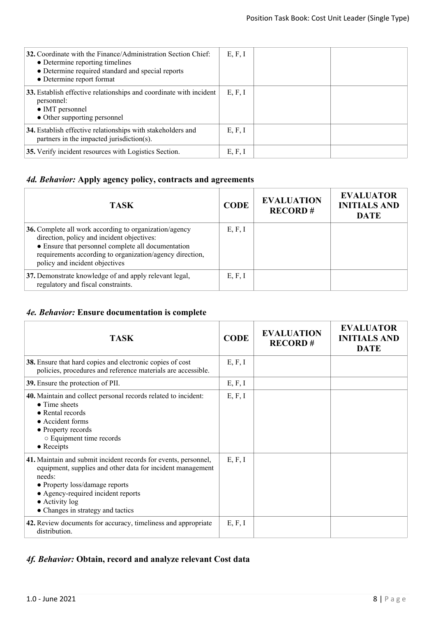| <b>32.</b> Coordinate with the Finance/Administration Section Chief:<br>• Determine reporting timelines<br>• Determine required standard and special reports<br>• Determine report format | E, F, I |  |
|-------------------------------------------------------------------------------------------------------------------------------------------------------------------------------------------|---------|--|
| 33. Establish effective relationships and coordinate with incident<br>personnel:<br>$\bullet$ IMT personnel<br>• Other supporting personnel                                               | E, F, I |  |
| 34. Establish effective relationships with stakeholders and<br>partners in the impacted jurisdiction(s).                                                                                  | E, F, I |  |
| 35. Verify incident resources with Logistics Section.                                                                                                                                     | E, F, I |  |

# *4d. Behavior:* **Apply agency policy, contracts and agreements**

| <b>TASK</b>                                                                                                                                                                                                                                              | <b>CODE</b> | <b>EVALUATION</b><br><b>RECORD#</b> | <b>EVALUATOR</b><br><b>INITIALS AND</b><br><b>DATE</b> |
|----------------------------------------------------------------------------------------------------------------------------------------------------------------------------------------------------------------------------------------------------------|-------------|-------------------------------------|--------------------------------------------------------|
| 36. Complete all work according to organization/agency<br>direction, policy and incident objectives:<br>• Ensure that personnel complete all documentation<br>requirements according to organization/agency direction,<br>policy and incident objectives | E, F, I     |                                     |                                                        |
| 37. Demonstrate knowledge of and apply relevant legal,<br>regulatory and fiscal constraints.                                                                                                                                                             | E, F, I     |                                     |                                                        |

# *4e. Behavior:* **Ensure documentation is complete**

| <b>TASK</b>                                                                                                                                                                                                                                                            | <b>CODE</b> | <b>EVALUATION</b><br><b>RECORD#</b> | <b>EVALUATOR</b><br><b>INITIALS AND</b><br><b>DATE</b> |
|------------------------------------------------------------------------------------------------------------------------------------------------------------------------------------------------------------------------------------------------------------------------|-------------|-------------------------------------|--------------------------------------------------------|
| 38. Ensure that hard copies and electronic copies of cost<br>policies, procedures and reference materials are accessible.                                                                                                                                              | E, F, I     |                                     |                                                        |
| 39. Ensure the protection of PII.                                                                                                                                                                                                                                      | E, F, I     |                                     |                                                        |
| 40. Maintain and collect personal records related to incident:<br>$\bullet$ Time sheets<br>• Rental records<br>• Accident forms<br>• Property records<br>○ Equipment time records<br>$\bullet$ Receipts                                                                | E, F, I     |                                     |                                                        |
| 41. Maintain and submit incident records for events, personnel,<br>equipment, supplies and other data for incident management<br>needs:<br>• Property loss/damage reports<br>• Agency-required incident reports<br>• Activity log<br>• Changes in strategy and tactics | E, F, I     |                                     |                                                        |
| 42. Review documents for accuracy, timeliness and appropriate<br>distribution.                                                                                                                                                                                         | E, F, I     |                                     |                                                        |

# *4f. Behavior:* **Obtain, record and analyze relevant Cost data**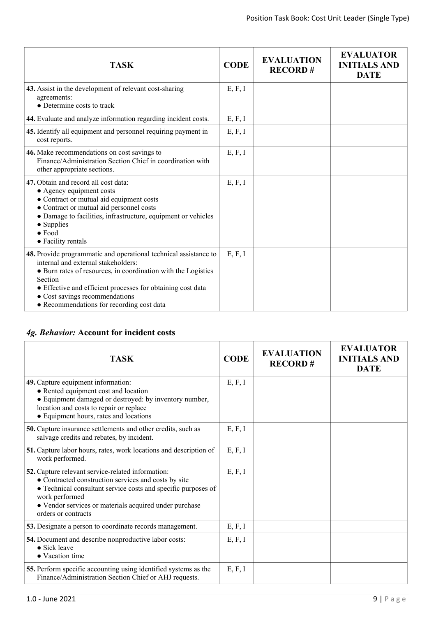| <b>TASK</b>                                                                                                                                                                                                                                                                                                                       | <b>CODE</b> | <b>EVALUATION</b><br><b>RECORD#</b> | <b>EVALUATOR</b><br><b>INITIALS AND</b><br><b>DATE</b> |
|-----------------------------------------------------------------------------------------------------------------------------------------------------------------------------------------------------------------------------------------------------------------------------------------------------------------------------------|-------------|-------------------------------------|--------------------------------------------------------|
| 43. Assist in the development of relevant cost-sharing<br>agreements:<br>• Determine costs to track                                                                                                                                                                                                                               | E, F, I     |                                     |                                                        |
| 44. Evaluate and analyze information regarding incident costs.                                                                                                                                                                                                                                                                    | E, F, I     |                                     |                                                        |
| 45. Identify all equipment and personnel requiring payment in<br>cost reports.                                                                                                                                                                                                                                                    | E, F, I     |                                     |                                                        |
| 46. Make recommendations on cost savings to<br>Finance/Administration Section Chief in coordination with<br>other appropriate sections.                                                                                                                                                                                           | E, F, I     |                                     |                                                        |
| 47. Obtain and record all cost data:<br>• Agency equipment costs<br>• Contract or mutual aid equipment costs<br>• Contract or mutual aid personnel costs<br>• Damage to facilities, infrastructure, equipment or vehicles<br>• Supplies<br>$\bullet$ Food<br>• Facility rentals                                                   | E, F, I     |                                     |                                                        |
| 48. Provide programmatic and operational technical assistance to<br>internal and external stakeholders:<br>• Burn rates of resources, in coordination with the Logistics<br>Section<br>• Effective and efficient processes for obtaining cost data<br>• Cost savings recommendations<br>• Recommendations for recording cost data | E, F, I     |                                     |                                                        |

## *4g. Behavior:* **Account for incident costs**

| <b>TASK</b>                                                                                                                                                                                                                                                                   | <b>CODE</b> | <b>EVALUATION</b><br><b>RECORD#</b> | <b>EVALUATOR</b><br><b>INITIALS AND</b><br><b>DATE</b> |
|-------------------------------------------------------------------------------------------------------------------------------------------------------------------------------------------------------------------------------------------------------------------------------|-------------|-------------------------------------|--------------------------------------------------------|
| 49. Capture equipment information:<br>• Rented equipment cost and location<br>• Equipment damaged or destroyed: by inventory number,<br>location and costs to repair or replace<br>• Equipment hours, rates and locations                                                     | E, F, I     |                                     |                                                        |
| 50. Capture insurance settlements and other credits, such as<br>salvage credits and rebates, by incident.                                                                                                                                                                     | E, F, I     |                                     |                                                        |
| <b>51.</b> Capture labor hours, rates, work locations and description of<br>work performed.                                                                                                                                                                                   | E, F, I     |                                     |                                                        |
| 52. Capture relevant service-related information:<br>• Contracted construction services and costs by site<br>• Technical consultant service costs and specific purposes of<br>work performed<br>• Vendor services or materials acquired under purchase<br>orders or contracts | E, F, I     |                                     |                                                        |
| 53. Designate a person to coordinate records management.                                                                                                                                                                                                                      | E, F, I     |                                     |                                                        |
| 54. Document and describe nonproductive labor costs:<br>• Sick leave<br>• Vacation time                                                                                                                                                                                       | E, F, I     |                                     |                                                        |
| 55. Perform specific accounting using identified systems as the<br>Finance/Administration Section Chief or AHJ requests.                                                                                                                                                      | E, F, I     |                                     |                                                        |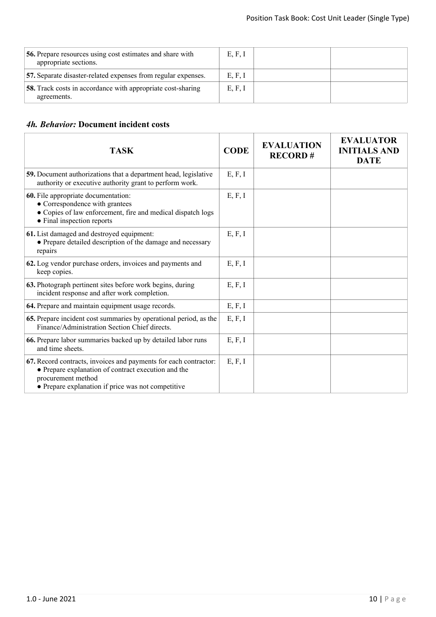| <b>56.</b> Prepare resources using cost estimates and share with<br>appropriate sections. | E, F, I |  |
|-------------------------------------------------------------------------------------------|---------|--|
| 57. Separate disaster-related expenses from regular expenses.                             | E, F, I |  |
| <b>58.</b> Track costs in accordance with appropriate cost-sharing<br>agreements.         | E, F, I |  |

## *4h. Behavior:* **Document incident costs**

| <b>TASK</b>                                                                                                                                                                                         | <b>CODE</b> | <b>EVALUATION</b><br><b>RECORD#</b> | <b>EVALUATOR</b><br><b>INITIALS AND</b><br><b>DATE</b> |
|-----------------------------------------------------------------------------------------------------------------------------------------------------------------------------------------------------|-------------|-------------------------------------|--------------------------------------------------------|
| 59. Document authorizations that a department head, legislative<br>authority or executive authority grant to perform work.                                                                          | E, F, I     |                                     |                                                        |
| 60. File appropriate documentation:<br>• Correspondence with grantees<br>• Copies of law enforcement, fire and medical dispatch logs<br>• Final inspection reports                                  | E, F, I     |                                     |                                                        |
| 61. List damaged and destroyed equipment:<br>• Prepare detailed description of the damage and necessary<br>repairs                                                                                  | E, F, I     |                                     |                                                        |
| 62. Log vendor purchase orders, invoices and payments and<br>keep copies.                                                                                                                           | E, F, I     |                                     |                                                        |
| 63. Photograph pertinent sites before work begins, during<br>incident response and after work completion.                                                                                           | E, F, I     |                                     |                                                        |
| 64. Prepare and maintain equipment usage records.                                                                                                                                                   | E, F, I     |                                     |                                                        |
| 65. Prepare incident cost summaries by operational period, as the<br>Finance/Administration Section Chief directs.                                                                                  | E, F, I     |                                     |                                                        |
| 66. Prepare labor summaries backed up by detailed labor runs<br>and time sheets.                                                                                                                    | E, F, I     |                                     |                                                        |
| 67. Record contracts, invoices and payments for each contractor:<br>• Prepare explanation of contract execution and the<br>procurement method<br>• Prepare explanation if price was not competitive | E, F, I     |                                     |                                                        |